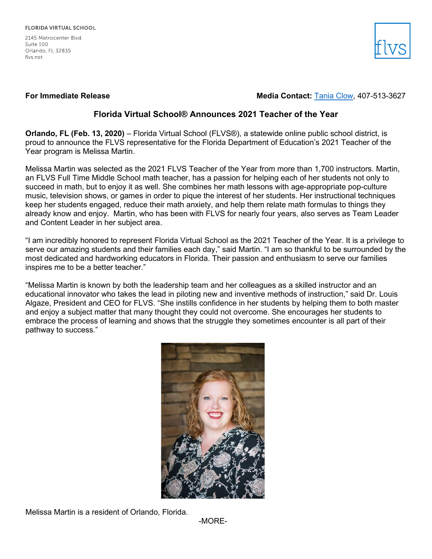2145 Metrocenter Blvd. Suite 100 Orlando, FL 32835 flys net



# **For Immediate Release Media Contact: [Tania Clow,](mailto:tclow@flvs.net) 407-513-3627**

# **Florida Virtual School® Announces 2021 Teacher of the Year**

**Orlando, FL (Feb. 13, 2020)** – Florida Virtual School (FLVS®), a statewide online public school district, is proud to announce the FLVS representative for the Florida Department of Education's 2021 Teacher of the Year program is Melissa Martin.

Melissa Martin was selected as the 2021 FLVS Teacher of the Year from more than 1,700 instructors. Martin, an FLVS Full Time Middle School math teacher, has a passion for helping each of her students not only to succeed in math, but to enjoy it as well. She combines her math lessons with age-appropriate pop-culture music, television shows, or games in order to pique the interest of her students. Her instructional techniques keep her students engaged, reduce their math anxiety, and help them relate math formulas to things they already know and enjoy. Martin, who has been with FLVS for nearly four years, also serves as Team Leader and Content Leader in her subject area.

"I am incredibly honored to represent Florida Virtual School as the 2021 Teacher of the Year. It is a privilege to serve our amazing students and their families each day," said Martin. "I am so thankful to be surrounded by the most dedicated and hardworking educators in Florida. Their passion and enthusiasm to serve our families inspires me to be a better teacher."

"Melissa Martin is known by both the leadership team and her colleagues as a skilled instructor and an educational innovator who takes the lead in piloting new and inventive methods of instruction," said Dr. Louis Algaze, President and CEO for FLVS. "She instills confidence in her students by helping them to both master and enjoy a subject matter that many thought they could not overcome. She encourages her students to embrace the process of learning and shows that the struggle they sometimes encounter is all part of their pathway to success."



Melissa Martin is a resident of Orlando, Florida.